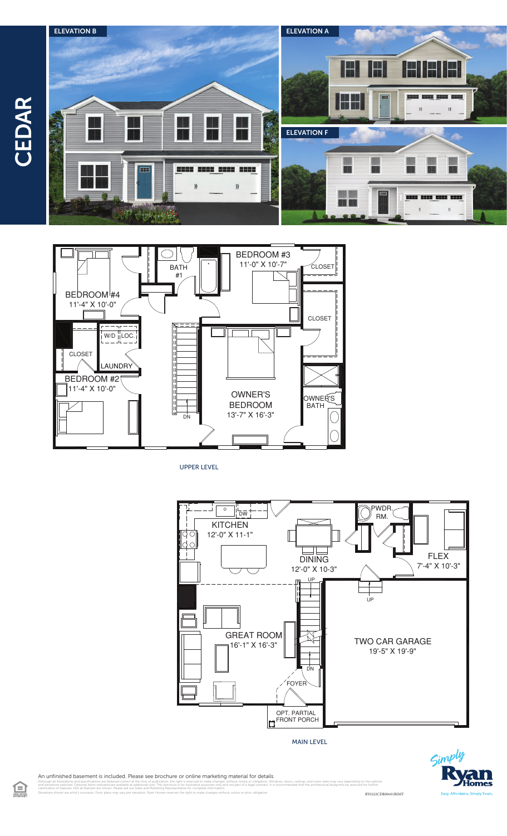$\Xi$ 





UPPER LEVEL



MAIN LEVEL



An unfinished basement is included. Please see brochure or online marketing material for details.

illustrations and specifications are believed correct at the time of publication, the right is reserved to make changes, without notice or obligation. Windows, doors, cellings, and room sizes may vary depending on the opti clarification of features. Not all features are shown. Please ask our Sales and Marketing Representative for complete information. Elevations shown are artist's concepts. Floor plans may vary per elevation. Ryan Homes reserves the right to make changes without notice or prior obligation. RY0222CDR00v01BSMT